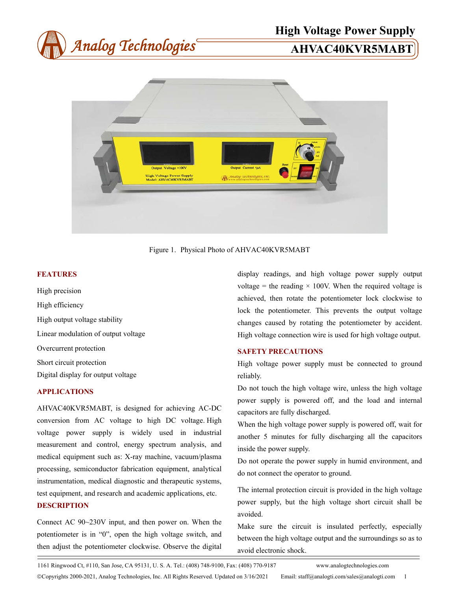



Figure 1. Physical Photo of AHVAC40KVR5MABT

### **FEATURES**

High precision High efficiency High output voltage stability Linear modulation of output voltage Overcurrent protection Short circuit protection Digital display for output voltage

#### **APPLICATIONS**

AHVAC40KVR5MABT, is designed for achieving AC-DC conversion from AC voltage to high DC voltage. High voltage power supply is widely used in industrial measurement and control, energy spectrum analysis, and medical equipment such as: X-ray machine, vacuum/plasma processing, semiconductor fabrication equipment, analytical instrumentation, medical diagnostic and therapeutic systems, test equipment, and research and academic applications, etc. **DESCRIPTION** 

Connect AC 90~230V input, and then power on. When the potentiometer is in "0", open the high voltage switch, and then adjust the potentiometer clockwise. Observe the digital

display readings, and high voltage power supply output voltage = the reading  $\times$  100V. When the required voltage is achieved, then rotate the potentiometer lock clockwise to lock the potentiometer. This prevents the output voltage changes caused by rotating the potentiometer by accident. High voltage connection wire is used for high voltage output.

#### **SAFETY PRECAUTIONS**

High voltage power supply must be connected to ground reliably.

Do not touch the high voltage wire, unless the high voltage power supply is powered off, and the load and internal capacitors are fully discharged.

When the high voltage power supply is powered off, wait for another 5 minutes for fully discharging all the capacitors inside the power supply.

Do not operate the power supply in humid environment, and do not connect the operator to ground.

The internal protection circuit is provided in the high voltage power supply, but the high voltage short circuit shall be avoided.

Make sure the circuit is insulated perfectly, especially between the high voltage output and the surroundings so as to avoid electronic shock.

1161 Ringwood Ct, #110, San Jose, CA 95131, U. S. A. Tel.: (408) 748-9100, Fax: (408) 770-9187 www.analogtechnologies.com

Copyrights 2000-2021, Analog Technologies, Inc. All Rights Reserved. Updated on 3/16/2021 Email: staff@analogti.com/sales@analogti.com 1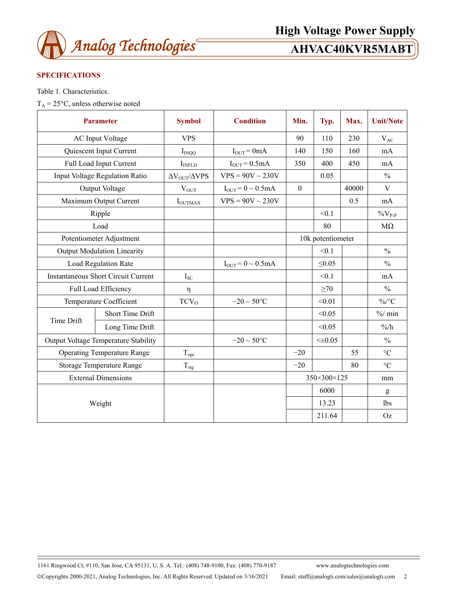

# **SPECIFICATIONS**

Table 1. Characteristics.

 $T_A = 25$ °C, unless otherwise noted

| <b>Parameter</b>                           |                         | <b>Symbol</b>                    | <b>Condition</b>         | Min.         | Typ.              | Max.  | <b>Unit/Note</b>   |
|--------------------------------------------|-------------------------|----------------------------------|--------------------------|--------------|-------------------|-------|--------------------|
| <b>AC</b> Input Voltage                    |                         | <b>VPS</b>                       |                          | 90           | 110               | 230   | $V_{AC}$           |
| Quiescent Input Current                    |                         | $I_{INQQ}$                       | $I_{OUT} = 0mA$          | 140          | 150               | 160   | mA                 |
| Full Load Input Current                    |                         | I <sub>INFLD</sub>               | $I_{OUT} = 0.5mA$        | 350          | 400               | 450   | mA                 |
| Input Voltage Regulation Ratio             |                         | $\Delta \rm{V_{OUT}}/\Delta VPS$ | $VPS = 90V \sim 230V$    |              | 0.05              |       | $\frac{0}{0}$      |
| Output Voltage                             |                         | $V_{OUT}$                        | $I_{OUT} = 0 \sim 0.5mA$ | $\mathbf{0}$ |                   | 40000 | V                  |
| Maximum Output Current                     |                         | $I_{\text{OUTMAX}}$              | $VPS = 90V \sim 230V$    |              |                   | 0.5   | mA                 |
| Ripple                                     |                         |                                  |                          |              | < 0.1             |       | $\%V_{P\text{-}P}$ |
| Load                                       |                         |                                  |                          |              | 80                |       | $M\Omega$          |
| Potentiometer Adjustment                   |                         |                                  |                          |              | 10k potentiometer |       |                    |
| <b>Output Modulation Linearity</b>         |                         |                                  |                          |              | < 0.1             |       | $\frac{0}{0}$      |
| Load Regulation Rate                       |                         |                                  | $I_{OUT} = 0 \sim 0.5mA$ |              | $\leq 0.05$       |       | $\frac{0}{0}$      |
| <b>Instantaneous Short Circuit Current</b> |                         | $I_{SC}$                         |                          |              | < 0.1             |       | mA                 |
| Full Load Efficiency                       |                         | η                                |                          |              | $\geq 70$         |       | $\frac{0}{0}$      |
| Temperature Coefficient                    |                         | TCV <sub>0</sub>                 | $-20 \sim 50$ °C         |              | < 0.01            |       | $\%$ /°C           |
| Time Drift                                 | <b>Short Time Drift</b> |                                  |                          |              | < 0.05            |       | $\%$ min           |
|                                            | Long Time Drift         |                                  |                          |              | < 0.05            |       | $\frac{9}{6}$      |
| Output Voltage Temperature Stability       |                         |                                  | $-20 \sim 50^{\circ}C$   |              | $< \pm 0.05$      |       | $\frac{0}{0}$      |
| <b>Operating Temperature Range</b>         |                         | $T_{\text{opt}}$                 |                          | $-20$        |                   | 55    | $\rm ^{\circ}C$    |
| Storage Temperature Range                  |                         | $T_{\text{stg}}$                 |                          | $-20$        |                   | 80    | $\rm ^{\circ}C$    |
| <b>External Dimensions</b>                 |                         |                                  |                          |              | 350×300×125       |       | mm                 |
| Weight                                     |                         |                                  |                          |              | 6000              |       | g                  |
|                                            |                         |                                  |                          |              | 13.23             |       | lbs                |
|                                            |                         |                                  |                          |              | 211.64            |       | Oz                 |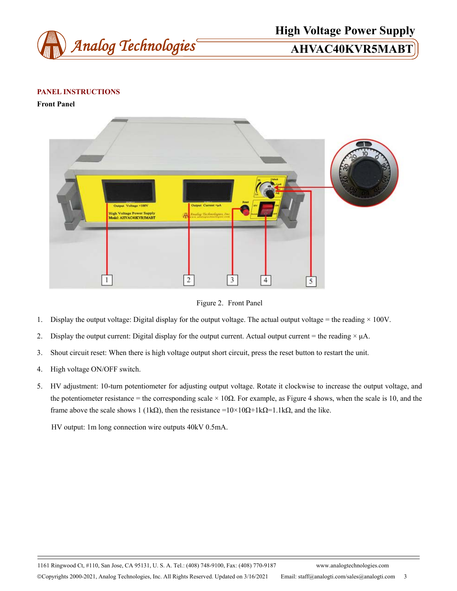

# **High Voltage Power Supply**

# **PANEL INSTRUCTIONS**

**Front Panel** 



Figure 2. Front Panel

- 1. Display the output voltage: Digital display for the output voltage. The actual output voltage = the reading  $\times$  100V.
- 2. Display the output current: Digital display for the output current. Actual output current = the reading  $\times \mu$ A.
- 3. Shout circuit reset: When there is high voltage output short circuit, press the reset button to restart the unit.
- 4. High voltage ON/OFF switch.
- 5. HV adjustment: 10-turn potentiometer for adjusting output voltage. Rotate it clockwise to increase the output voltage, and the potentiometer resistance = the corresponding scale  $\times$  10 $\Omega$ . For example, as Figure 4 shows, when the scale is 10, and the frame above the scale shows 1 (1kΩ), then the resistance =10×10Ω+1kΩ=1.1kΩ, and the like.

HV output: 1m long connection wire outputs 40kV 0.5mA.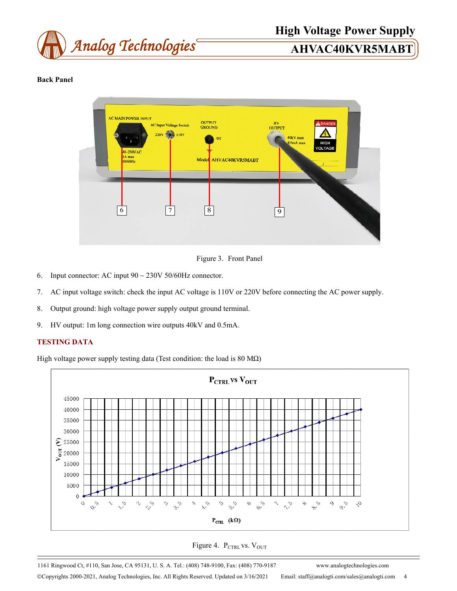

# **High Voltage Power Supply**

# **Back Panel**



# Figure 3. Front Panel

- 6. Input connector: AC input  $90 \sim 230V$  50/60Hz connector.
- 7. AC input voltage switch: check the input AC voltage is 110V or 220V before connecting the AC power supply.
- 8. Output ground: high voltage power supply output ground terminal.
- 9. HV output: 1m long connection wire outputs 40kV and 0.5mA.

# **TESTING DATA**

High voltage power supply testing data (Test condition: the load is 80 M $\Omega$ )



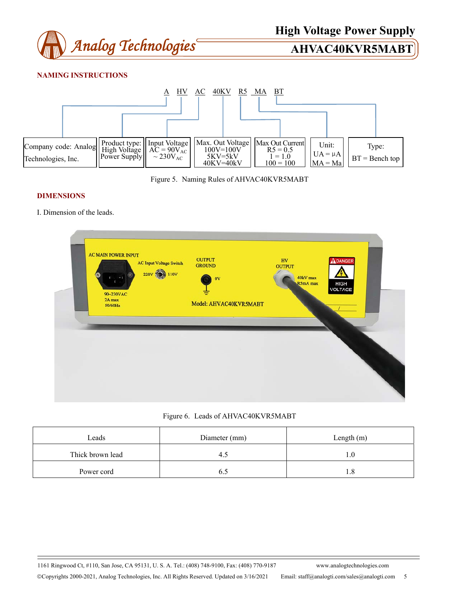

# **NAMING INSTRUCTIONS**





## **DIMENSIONS**

I. Dimension of the leads.

| <b>AC MAIN POWER INPUT</b><br><b>AC Input Voltage Switch</b> | <b>OUTPUT</b><br><b>GROUND</b> | HV<br><b>OUTPUT</b>  | ADANGER                |
|--------------------------------------------------------------|--------------------------------|----------------------|------------------------|
| 220V 9<br>110V<br>$-1$                                       | 0V                             | 40kV max<br>R5mA max | <b>HIGH</b><br>VOLTAGE |
| 90~230VAC<br>2A max<br>50/60Hz                               | Model: AHVAC40KVR5MABT         |                      |                        |
|                                                              |                                |                      |                        |
|                                                              | -                              |                      |                        |
|                                                              |                                |                      |                        |
|                                                              |                                |                      |                        |

## Figure 6. Leads of AHVAC40KVR5MABT

| Leads            | Diameter (mm) | Length $(m)$ |  |  |
|------------------|---------------|--------------|--|--|
| Thick brown lead | 4.1           |              |  |  |
| Power cord       |               |              |  |  |

1161 Ringwood Ct, #110, San Jose, CA 95131, U. S. A. Tel.: (408) 748-9100, Fax: (408) 770-9187 www.analogtechnologies.com Copyrights 2000-2021, Analog Technologies, Inc. All Rights Reserved. Updated on 3/16/2021 Email: staff@analogti.com/sales@analogti.com 5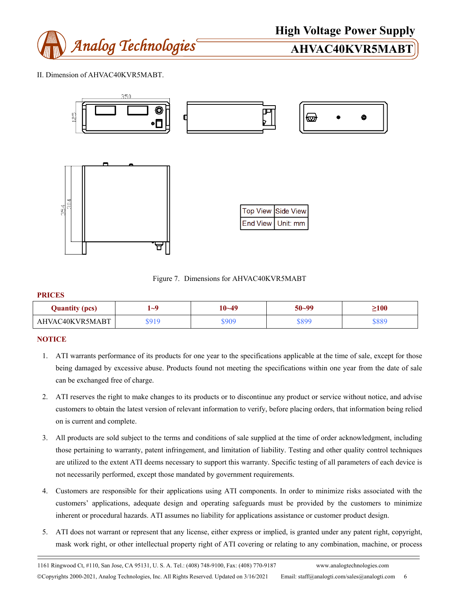

II. Dimension of AHVAC40KVR5MABT.



Figure 7. Dimensions for AHVAC40KVR5MABT

### **PRICES**

| <b>Quantity (pcs)</b> | $\sim$ | 10~49 | 50~99 | $\geq100$ |
|-----------------------|--------|-------|-------|-----------|
| AHVAC40KVR5MABT       |        | 909ھ  | \$899 | \$889     |

## **NOTICE**

- 1. ATI warrants performance of its products for one year to the specifications applicable at the time of sale, except for those being damaged by excessive abuse. Products found not meeting the specifications within one year from the date of sale can be exchanged free of charge.
- 2. ATI reserves the right to make changes to its products or to discontinue any product or service without notice, and advise customers to obtain the latest version of relevant information to verify, before placing orders, that information being relied on is current and complete.
- 3. All products are sold subject to the terms and conditions of sale supplied at the time of order acknowledgment, including those pertaining to warranty, patent infringement, and limitation of liability. Testing and other quality control techniques are utilized to the extent ATI deems necessary to support this warranty. Specific testing of all parameters of each device is not necessarily performed, except those mandated by government requirements.
- 4. Customers are responsible for their applications using ATI components. In order to minimize risks associated with the customers' applications, adequate design and operating safeguards must be provided by the customers to minimize inherent or procedural hazards. ATI assumes no liability for applications assistance or customer product design.
- 5. ATI does not warrant or represent that any license, either express or implied, is granted under any patent right, copyright, mask work right, or other intellectual property right of ATI covering or relating to any combination, machine, or process